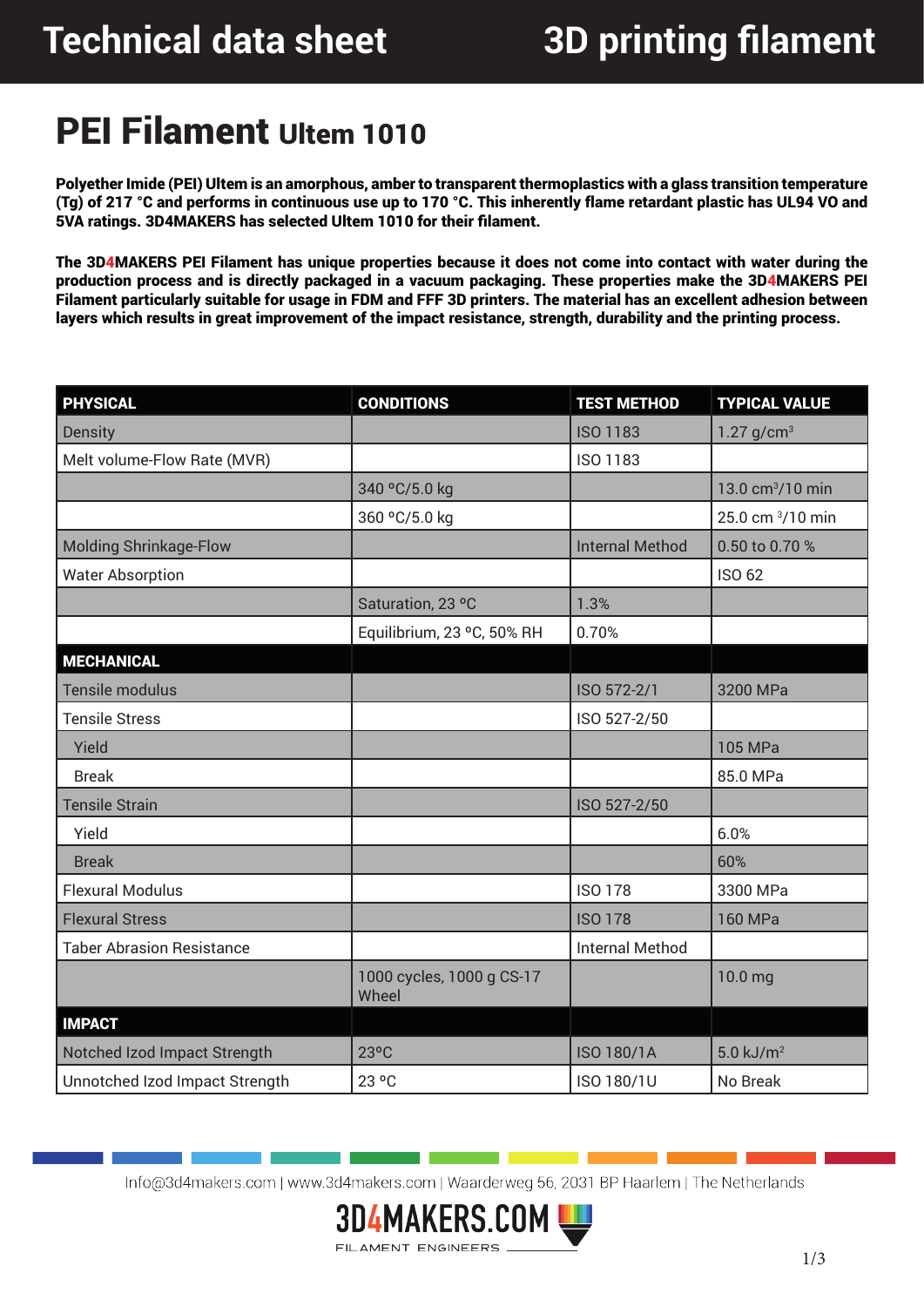### PEI Filament Ultem 1010

Polyether Imide (PEI) Ultem is an amorphous, amber to transparent thermoplastics with a glass transition temperature (Tg) of 217 °C and performs in continuous use up to 170 °C. This inherently flame retardant plastic has UL94 VO and 5VA ratings. 3D4MAKERS has selected Ultem 1010 for their filament.

The 3D4MAKERS PEI Filament has unique properties because it does not come into contact with water during the production process and is directly packaged in a vacuum packaging. These properties make the 3D4MAKERS PEI Filament particularly suitable for usage in FDM and FFF 3D printers. The material has an excellent adhesion between layers which results in great improvement of the impact resistance, strength, durability and the printing process.

| <b>PHYSICAL</b>                  | <b>CONDITIONS</b>                  | <b>TEST METHOD</b>     | <b>TYPICAL VALUE</b>         |  |
|----------------------------------|------------------------------------|------------------------|------------------------------|--|
| <b>Density</b>                   |                                    | <b>ISO 1183</b>        | 1.27 $g/cm^{3}$              |  |
| Melt volume-Flow Rate (MVR)      |                                    | ISO 1183               |                              |  |
|                                  | 340 °C/5.0 kg                      |                        | 13.0 cm <sup>3</sup> /10 min |  |
|                                  | 360 °C/5.0 kg                      |                        | 25.0 cm 3/10 min             |  |
| <b>Molding Shrinkage-Flow</b>    |                                    | <b>Internal Method</b> | 0.50 to 0.70 %               |  |
| <b>Water Absorption</b>          |                                    |                        | <b>ISO 62</b>                |  |
|                                  | Saturation, 23 °C                  | 1.3%                   |                              |  |
|                                  | Equilibrium, 23 °C, 50% RH         | 0.70%                  |                              |  |
| <b>MECHANICAL</b>                |                                    |                        |                              |  |
| Tensile modulus                  |                                    | ISO 572-2/1            | 3200 MPa                     |  |
| <b>Tensile Stress</b>            |                                    | ISO 527-2/50           |                              |  |
| Yield                            |                                    |                        | 105 MPa                      |  |
| <b>Break</b>                     |                                    |                        | 85.0 MPa                     |  |
| <b>Tensile Strain</b>            |                                    | ISO 527-2/50           |                              |  |
| Yield                            |                                    |                        | 6.0%                         |  |
| <b>Break</b>                     |                                    |                        | 60%                          |  |
| <b>Flexural Modulus</b>          |                                    | <b>ISO 178</b>         | 3300 MPa                     |  |
| <b>Flexural Stress</b>           |                                    | <b>ISO 178</b>         | 160 MPa                      |  |
| <b>Taber Abrasion Resistance</b> |                                    | <b>Internal Method</b> |                              |  |
|                                  | 1000 cycles, 1000 g CS-17<br>Wheel |                        | 10.0 mg                      |  |
| <b>IMPACT</b>                    |                                    |                        |                              |  |
| Notched Izod Impact Strength     | $23^{\circ}$ C                     | <b>ISO 180/1A</b>      | $5.0$ kJ/m <sup>2</sup>      |  |
| Unnotched Izod Impact Strength   | 23 °C                              | ISO 180/1U<br>No Break |                              |  |

Info@3d4makers.com | www.3d4makers.com | Waarderweg 56, 2031 BP Haarlem | The Netherlands

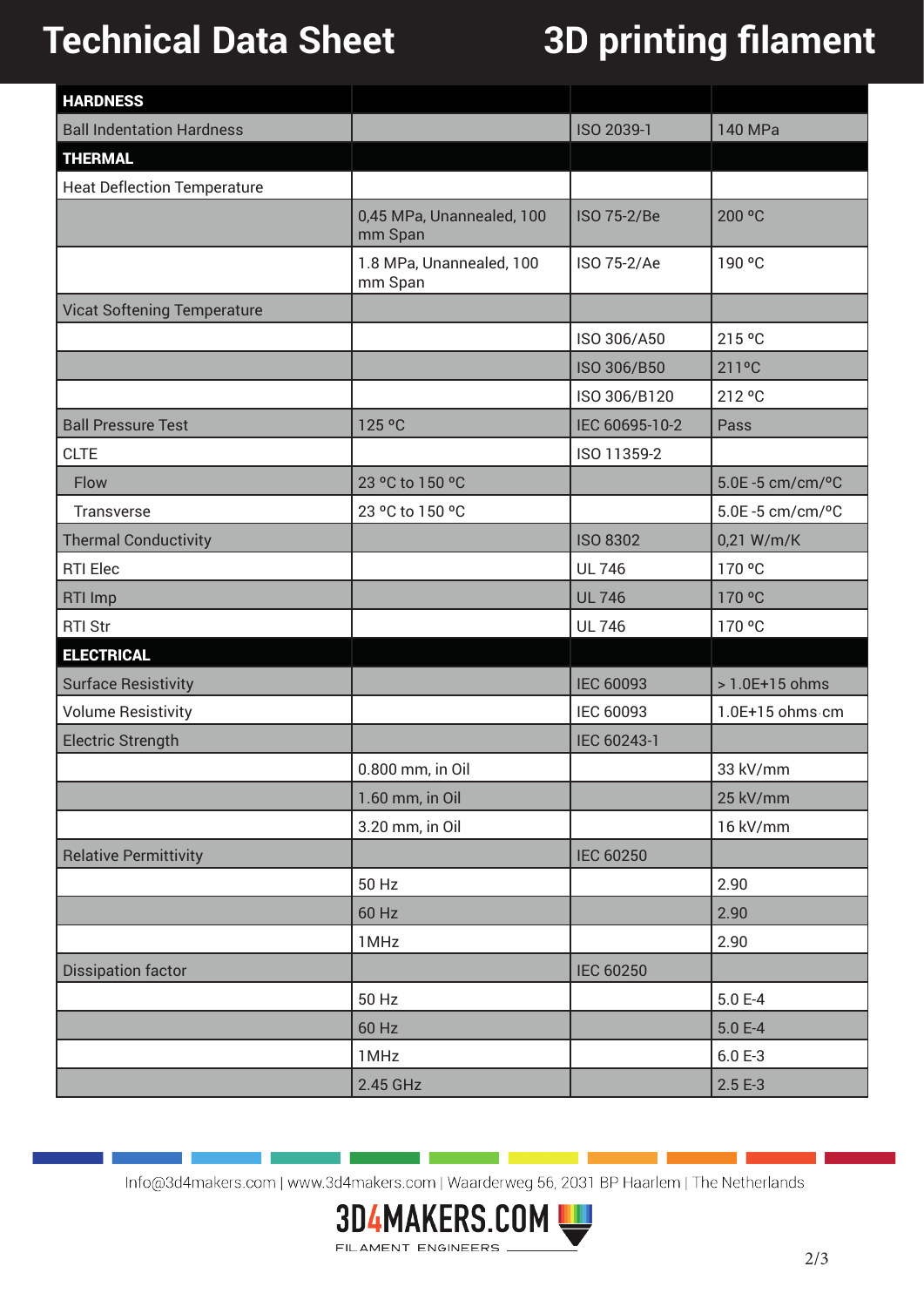# **Technical Data Sheet 3D printing filament**

| <b>HARDNESS</b>                    |                                      |                  |                 |
|------------------------------------|--------------------------------------|------------------|-----------------|
| <b>Ball Indentation Hardness</b>   |                                      | ISO 2039-1       | 140 MPa         |
| <b>THERMAL</b>                     |                                      |                  |                 |
| <b>Heat Deflection Temperature</b> |                                      |                  |                 |
|                                    | 0,45 MPa, Unannealed, 100<br>mm Span | ISO 75-2/Be      | 200 °C          |
|                                    | 1.8 MPa, Unannealed, 100<br>mm Span  | ISO 75-2/Ae      | 190 °C          |
| <b>Vicat Softening Temperature</b> |                                      |                  |                 |
|                                    |                                      | ISO 306/A50      | 215 °C          |
|                                    |                                      | ISO 306/B50      | 211°C           |
|                                    |                                      | ISO 306/B120     | 212 °C          |
| <b>Ball Pressure Test</b>          | 125 °C                               | IEC 60695-10-2   | Pass            |
| <b>CLTE</b>                        |                                      | ISO 11359-2      |                 |
| Flow                               | 23 °C to 150 °C                      |                  | 5.0E-5 cm/cm/°C |
| Transverse                         | 23 °C to 150 °C                      |                  | 5.0E-5 cm/cm/°C |
| <b>Thermal Conductivity</b>        |                                      | <b>ISO 8302</b>  | 0,21 W/m/K      |
| <b>RTI Elec</b>                    |                                      | <b>UL 746</b>    | 170 °C          |
| <b>RTI Imp</b>                     |                                      | <b>UL 746</b>    | 170 °C          |
| <b>RTI Str</b>                     |                                      | <b>UL 746</b>    | 170 °C          |
| <b>ELECTRICAL</b>                  |                                      |                  |                 |
| <b>Surface Resistivity</b>         |                                      | <b>IEC 60093</b> | > 1.0E+15 ohms  |
| <b>Volume Resistivity</b>          |                                      | IEC 60093        | 1.0E+15 ohms cm |
| <b>Electric Strength</b>           |                                      | IEC 60243-1      |                 |
|                                    | 0.800 mm, in Oil                     |                  | 33 kV/mm        |
|                                    | 1.60 mm, in Oil                      |                  | 25 kV/mm        |
|                                    | 3.20 mm, in Oil                      |                  | 16 kV/mm        |
| <b>Relative Permittivity</b>       |                                      | <b>IEC 60250</b> |                 |
|                                    | 50 Hz                                |                  | 2.90            |
|                                    | 60 Hz                                |                  | 2.90            |
|                                    | 1MHz                                 |                  | 2.90            |
| <b>Dissipation factor</b>          |                                      | <b>IEC 60250</b> |                 |
|                                    | 50 Hz                                |                  | 5.0 E-4         |
|                                    | 60 Hz                                |                  | $5.0 E-4$       |
|                                    | 1MHz                                 |                  | $6.0 E-3$       |
|                                    | 2.45 GHz                             |                  | $2.5E-3$        |

Info@3d4makers.com | www.3d4makers.com | Waarderweg 56, 2031 BP Haarlem | The Netherlands